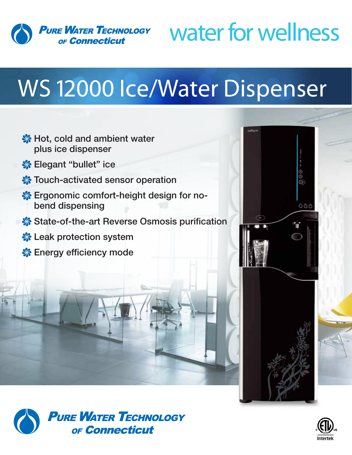

## water for wellness

## WS 12000 Ice/Water Dispenser